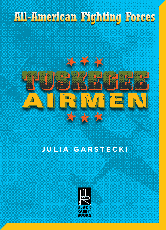## **All-American Fighting Forces All-American Fighting Forces**



### **JULIA GARSTECKI**

AIRMENT AND THE CONTRACTOR

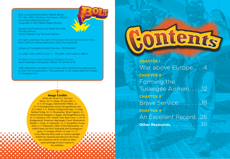Bolt is published by Black Rabbit Books P.O. Box 3263, Mankato, Minnesota, 56002. www.blackrabbitbooks.com Copyright © 2017 Black Rabbit Books

Design and Production by Brad Norr and Michael Sellner Photo Research by Rhonda Milbrett

All rights reserved. No part of this book may be reproduced in any form without written permission from the publisher.

Library of Congress Control Number: 2015954843

HC ISBN: 978-1-68072-004-4 PB ISBN: 978-1-68072-288-8

Printed in the United States at CG Book Printers, North Mankato, Minnesota, 56003. PO #1794 4/16

Web addresses included in this book were working and appropriate at the time of publication. The publisher is not responsible for broken or changed links.

#### Image Credits

442fw.afrc.af.mil: U.S. Air Force Photo, 20–21; Alamy: PF-(aircraft), 3, 8–9; AP Images: ASSOCIATED PRESS, 23, 24–25 (background); articles.chicagotribune.com: 32; Corbis: 4–5; Berliner Verlag/Archiv/dpa, 27 (top); Berliner Verlag, 10–11; Dreamstime: Brian Cogavin, 22; Artist/Colorist Margaret A. Rogers, MyVintagePhotos.com: 16–17 (airmen); LOC: Frissell, Toni, Back Cover, 1, 28–29 (background); Newscom: akg-images, Cover; Shutterstock: Bradley L. Grant, 31; Jiripravda, 16–17 (propeller); Tomas Picka, 6–7; Wikimedia: Office of War Information, 14; United States Air Force Trademark and Licensing program, 27 (wings); USAAF, 19; usaf, 12–13

Every effort has been made to contact copyright holders for material reproduced in this book. Any omissions will be rectified in subsequent printings if notice is given to the publisher.

**CHAPTER 1** War above Europe....4 **CHAPTER 2** Forming the Tuskegee Airmen. . . . .12 **CHAPTER 3** Brave Service. . . . . . . . .18 **CHAPTER 4** An Excellent Record. .26 **Other Resources.** . . . . . . . . . . 30

ntents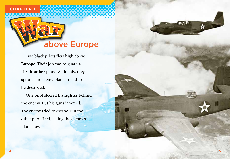# above Europe

Two black pilots flew high above **Europe**. Their job was to guard a U.S. bomber plane. Suddenly, they spotted an enemy plane. It had to be destroyed.

One pilot steered his fighter behind the enemy. But his guns jammed. The enemy tried to escape. But the other pilot fired, taking the enemy's plane down.

**5**



**CHAPTER 1**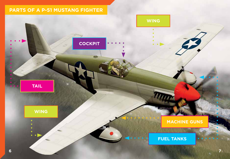### **PARTS OF A P-51 MUSTANG FIGHTER**